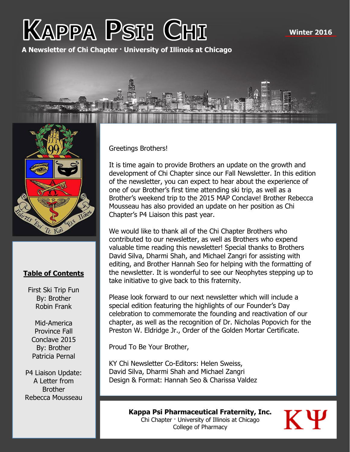# **KAPPA PSI: CHI**

**A Newsletter of Chi Chapter · University of Illinois at Chicago**





#### **Table of Contents**

First Ski Trip Fun By: Brother Robin Frank

Mid-America Province Fall Conclave 2015 By: Brother Patricia Pernal

P4 Liaison Update: A Letter from **Brother** Rebecca Mousseau Greetings Brothers!

It is time again to provide Brothers an update on the growth and development of Chi Chapter since our Fall Newsletter. In this edition of the newsletter, you can expect to hear about the experience of one of our Brother's first time attending ski trip, as well as a Brother's weekend trip to the 2015 MAP Conclave! Brother Rebecca Mousseau has also provided an update on her position as Chi Chapter's P4 Liaison this past year.

We would like to thank all of the Chi Chapter Brothers who contributed to our newsletter, as well as Brothers who expend valuable time reading this newsletter! Special thanks to Brothers David Silva, Dharmi Shah, and Michael Zangri for assisting with editing, and Brother Hannah Seo for helping with the formatting of the newsletter. It is wonderful to see our Neophytes stepping up to take initiative to give back to this fraternity.

Please look forward to our next newsletter which will include a special edition featuring the highlights of our Founder's Day celebration to commemorate the founding and reactivation of our chapter, as well as the recognition of Dr. Nicholas Popovich for the Preston W. Eldridge Jr., Order of the Golden Mortar Certificate.

Proud To Be Your Brother,

KY Chi Newsletter Co-Editors: Helen Sweiss, David Silva, Dharmi Shah and Michael Zangri Design & Format: Hannah Seo & Charissa Valdez

> **Kappa Psi Pharmaceutical Fraternity, Inc.** Chi Chapter · University of Illinois at Chicago College of Pharmacy

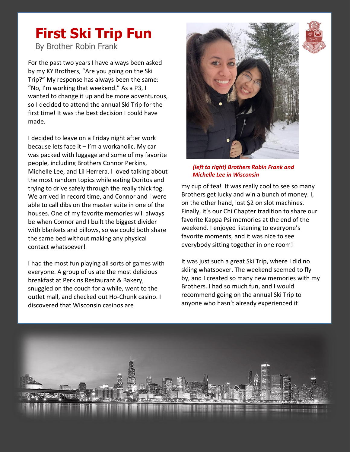#### **First Ski Trip Fun**

By Brother Robin Frank

For the past two years I have always been asked by my KY Brothers, "Are you going on the Ski Trip?" My response has always been the same: "No, I'm working that weekend." As a P3, I wanted to change it up and be more adventurous, so I decided to attend the annual Ski Trip for the first time! It was the best decision I could have made.

I decided to leave on a Friday night after work because lets face it – I'm a workaholic. My car was packed with luggage and some of my favorite people, including Brothers Connor Perkins, Michelle Lee, and Lil Herrera. I loved talking about the most random topics while eating Doritos and trying to drive safely through the really thick fog. We arrived in record time, and Connor and I were able to call dibs on the master suite in one of the houses. One of my favorite memories will always be when Connor and I built the biggest divider with blankets and pillows, so we could both share the same bed without making any physical contact whatsoever!

I had the most fun playing all sorts of games with everyone. A group of us ate the most delicious breakfast at Perkins Restaurant & Bakery, snuggled on the couch for a while, went to the outlet mall, and checked out Ho-Chunk casino. I discovered that Wisconsin casinos are



*(left to right) Brothers Robin Frank and Michelle Lee in Wisconsin*

my cup of tea! It was really cool to see so many Brothers get lucky and win a bunch of money. I, on the other hand, lost \$2 on slot machines. Finally, it's our Chi Chapter tradition to share our favorite Kappa Psi memories at the end of the weekend. I enjoyed listening to everyone's favorite moments, and it was nice to see everybody sitting together in one room!

It was just such a great Ski Trip, where I did no skiing whatsoever. The weekend seemed to fly by, and I created so many new memories with my Brothers. I had so much fun, and I would recommend going on the annual Ski Trip to anyone who hasn't already experienced it!



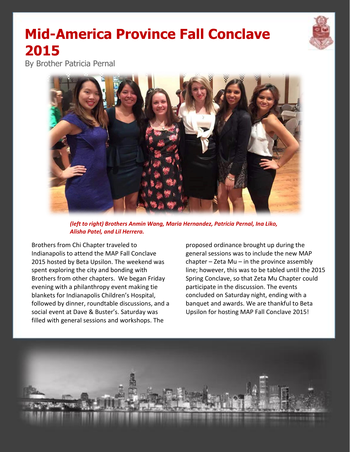## **Mid-America Province Fall Conclave 2015**

By Brother Patricia Pernal



*(left to right) Brothers Anmin Wang, Maria Hernandez, Patricia Pernal, Ina Liko, Alisha Patel, and Lil Herrera.*

Brothers from Chi Chapter traveled to Indianapolis to attend the MAP Fall Conclave 2015 hosted by Beta Upsilon. The weekend was spent exploring the city and bonding with Brothers from other chapters. We began Friday evening with a philanthropy event making tie blankets for Indianapolis Children's Hospital, followed by dinner, roundtable discussions, and a social event at Dave & Buster's. Saturday was filled with general sessions and workshops. The

proposed ordinance brought up during the general sessions was to include the new MAP chapter  $-$  Zeta Mu  $-$  in the province assembly line; however, this was to be tabled until the 2015 Spring Conclave, so that Zeta Mu Chapter could participate in the discussion. The events concluded on Saturday night, ending with a banquet and awards. We are thankful to Beta Upsilon for hosting MAP Fall Conclave 2015!